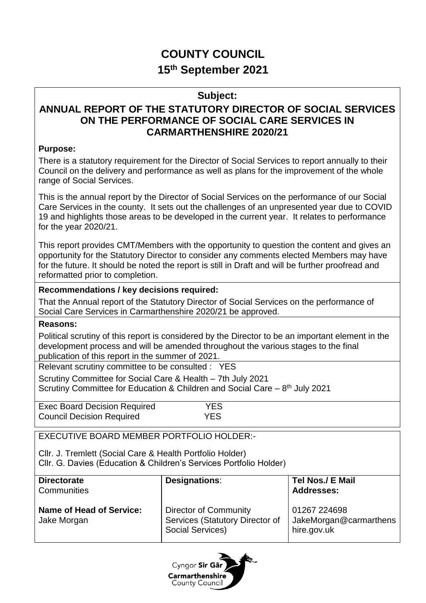# **COUNTY COUNCIL 15th September 2021**

## **Subject:**

## **ANNUAL REPORT OF THE STATUTORY DIRECTOR OF SOCIAL SERVICES ON THE PERFORMANCE OF SOCIAL CARE SERVICES IN CARMARTHENSHIRE 2020/21**

## **Purpose:**

There is a statutory requirement for the Director of Social Services to report annually to their Council on the delivery and performance as well as plans for the improvement of the whole range of Social Services.

This is the annual report by the Director of Social Services on the performance of our Social Care Services in the county. It sets out the challenges of an unpresented year due to COVID 19 and highlights those areas to be developed in the current year. It relates to performance for the year 2020/21.

This report provides CMT/Members with the opportunity to question the content and gives an opportunity for the Statutory Director to consider any comments elected Members may have for the future. It should be noted the report is still in Draft and will be further proofread and reformatted prior to completion.

## **Recommendations / key decisions required:**

That the Annual report of the Statutory Director of Social Services on the performance of Social Care Services in Carmarthenshire 2020/21 be approved.

#### **Reasons:**

Political scrutiny of this report is considered by the Director to be an important element in the development process and will be amended throughout the various stages to the final publication of this report in the summer of 2021.

Relevant scrutiny committee to be consulted : YES

Scrutiny Committee for Social Care & Health – 7th July 2021 Scrutiny Committee for Education & Children and Social Care – 8<sup>th</sup> July 2021

| <b>Exec Board Decision Required</b> | YES.       |  |
|-------------------------------------|------------|--|
| <b>Council Decision Required</b>    | <b>YES</b> |  |

EXECUTIVE BOARD MEMBER PORTFOLIO HOLDER:-

Cllr. J. Tremlett (Social Care & Health Portfolio Holder)

Cllr. G. Davies (Education & Children's Services Portfolio Holder)

| <b>Directorate</b><br>Communities              | Designations:                                                                | Tel Nos./ E Mail<br><b>Addresses:</b>                 |  |
|------------------------------------------------|------------------------------------------------------------------------------|-------------------------------------------------------|--|
| <b>Name of Head of Service:</b><br>Jake Morgan | Director of Community<br>Services (Statutory Director of<br>Social Services) | 01267 224698<br>JakeMorgan@carmarthens<br>hire.gov.uk |  |

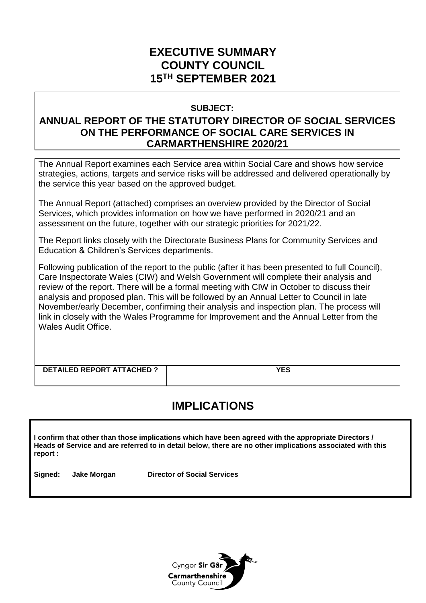## **EXECUTIVE SUMMARY COUNTY COUNCIL 15TH SEPTEMBER 2021**

#### **SUBJECT:**

## **ANNUAL REPORT OF THE STATUTORY DIRECTOR OF SOCIAL SERVICES ON THE PERFORMANCE OF SOCIAL CARE SERVICES IN CARMARTHENSHIRE 2020/21**

The Annual Report examines each Service area within Social Care and shows how service strategies, actions, targets and service risks will be addressed and delivered operationally by the service this year based on the approved budget.

The Annual Report (attached) comprises an overview provided by the Director of Social Services, which provides information on how we have performed in 2020/21 and an assessment on the future, together with our strategic priorities for 2021/22.

The Report links closely with the Directorate Business Plans for Community Services and Education & Children's Services departments.

Following publication of the report to the public (after it has been presented to full Council), Care Inspectorate Wales (CIW) and Welsh Government will complete their analysis and review of the report. There will be a formal meeting with CIW in October to discuss their analysis and proposed plan. This will be followed by an Annual Letter to Council in late November/early December, confirming their analysis and inspection plan. The process will link in closely with the Wales Programme for Improvement and the Annual Letter from the Wales Audit Office.

| <b>DETAILED REPORT ATTACHED?</b> |  |
|----------------------------------|--|
|                                  |  |

# **IMPLICATIONS**

**I confirm that other than those implications which have been agreed with the appropriate Directors / Heads of Service and are referred to in detail below, there are no other implications associated with this report :**

**Signed: Jake Morgan Director of Social Services** 

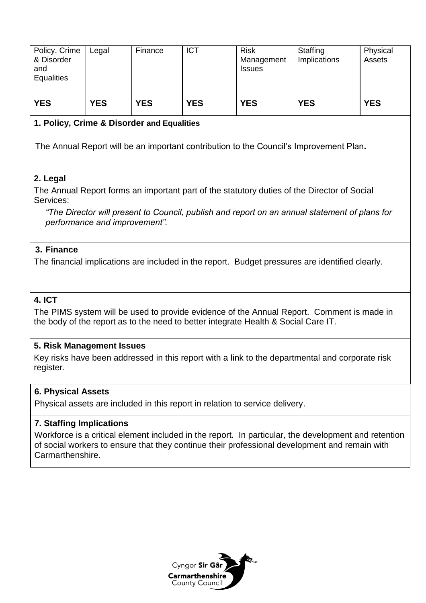| Policy, Crime<br>& Disorder<br>and<br><b>Equalities</b>                                                                                                                         | Legal      | Finance    | <b>ICT</b> | <b>Risk</b><br>Management<br><b>Issues</b> | Staffing<br>Implications                                                                             | Physical<br>Assets |  |  |  |  |  |  |
|---------------------------------------------------------------------------------------------------------------------------------------------------------------------------------|------------|------------|------------|--------------------------------------------|------------------------------------------------------------------------------------------------------|--------------------|--|--|--|--|--|--|
| <b>YES</b>                                                                                                                                                                      | <b>YES</b> | <b>YES</b> | <b>YES</b> | <b>YES</b>                                 | <b>YES</b>                                                                                           | <b>YES</b>         |  |  |  |  |  |  |
| 1. Policy, Crime & Disorder and Equalities                                                                                                                                      |            |            |            |                                            |                                                                                                      |                    |  |  |  |  |  |  |
| The Annual Report will be an important contribution to the Council's Improvement Plan.                                                                                          |            |            |            |                                            |                                                                                                      |                    |  |  |  |  |  |  |
| 2. Legal<br>The Annual Report forms an important part of the statutory duties of the Director of Social<br>Services:                                                            |            |            |            |                                            |                                                                                                      |                    |  |  |  |  |  |  |
| "The Director will present to Council, publish and report on an annual statement of plans for<br>performance and improvement".                                                  |            |            |            |                                            |                                                                                                      |                    |  |  |  |  |  |  |
| 3. Finance                                                                                                                                                                      |            |            |            |                                            |                                                                                                      |                    |  |  |  |  |  |  |
| The financial implications are included in the report. Budget pressures are identified clearly.                                                                                 |            |            |            |                                            |                                                                                                      |                    |  |  |  |  |  |  |
| <b>4. ICT</b>                                                                                                                                                                   |            |            |            |                                            |                                                                                                      |                    |  |  |  |  |  |  |
| The PIMS system will be used to provide evidence of the Annual Report. Comment is made in<br>the body of the report as to the need to better integrate Health & Social Care IT. |            |            |            |                                            |                                                                                                      |                    |  |  |  |  |  |  |
| 5. Risk Management Issues                                                                                                                                                       |            |            |            |                                            |                                                                                                      |                    |  |  |  |  |  |  |
| Key risks have been addressed in this report with a link to the departmental and corporate risk<br>register.                                                                    |            |            |            |                                            |                                                                                                      |                    |  |  |  |  |  |  |
| <b>6. Physical Assets</b>                                                                                                                                                       |            |            |            |                                            |                                                                                                      |                    |  |  |  |  |  |  |
| Physical assets are included in this report in relation to service delivery.                                                                                                    |            |            |            |                                            |                                                                                                      |                    |  |  |  |  |  |  |
| <b>7. Staffing Implications</b>                                                                                                                                                 |            |            |            |                                            |                                                                                                      |                    |  |  |  |  |  |  |
|                                                                                                                                                                                 |            |            |            |                                            | Workforce is a critical element included in the report. In particular, the development and retention |                    |  |  |  |  |  |  |



of social workers to ensure that they continue their professional development and remain with

Carmarthenshire.